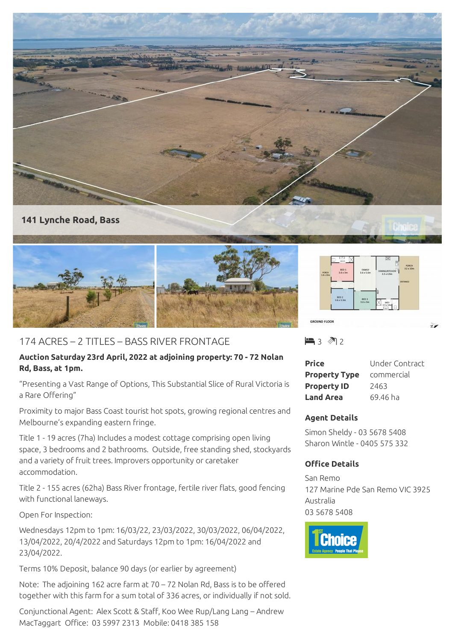

## **141 Lynche Road, Bass**



# 174 ACRES – 2 TITLES – BASS RIVER FRONTAGE

## **Auction Saturday 23rd April, 2022 at adjoining property: 70 - 72 Nolan Rd, Bass, at 1pm.**

"Presenting a Vast Range of Options, This Substantial Slice of Rural Victoria is a Rare Offering"

Proximity to major Bass Coast tourist hot spots, growing regional centres and Melbourne's expanding eastern fringe.

Title 1 - 19 acres (7ha) Includes a modest cottage comprising open living space, 3 bedrooms and 2 bathrooms. Outside, free standing shed, stockyards and a variety of fruit trees. Improvers opportunity or caretaker accommodation.

Title 2 - 155 acres (62ha) Bass River frontage, fertile river flats, good fencing with functional laneways.

Open For Inspection:

Wednesdays 12pm to 1pm: 16/03/22, 23/03/2022, 30/03/2022, 06/04/2022, 13/04/2022, 20/4/2022 and Saturdays 12pm to 1pm: 16/04/2022 and 23/04/2022.

Terms 10% Deposit, balance 90 days (or earlier by agreement)

Note: The adjoining 162 acre farm at 70 – 72 Nolan Rd, Bass is to be offered together with this farm for a sum total of 336 acres, or individually if not sold.

Conjunctional Agent: Alex Scott & Staff, Koo Wee Rup/Lang Lang – Andrew MacTaggart Office: 03 5997 2313 Mobile: 0418 385 158

 $\blacksquare$  3  $\blacksquare$  2

| Price                | Under Contract |
|----------------------|----------------|
| <b>Property Type</b> | commercial     |
| <b>Property ID</b>   | 2463           |
| <b>Land Area</b>     | 69.46 ha       |

## **Agent Details**

Simon Sheldy - 03 5678 5408 Sharon Wintle - 0405 575 332

## **Office Details**

San Remo 127 Marine Pde San Remo VIC 3925 Australia 03 5678 5408